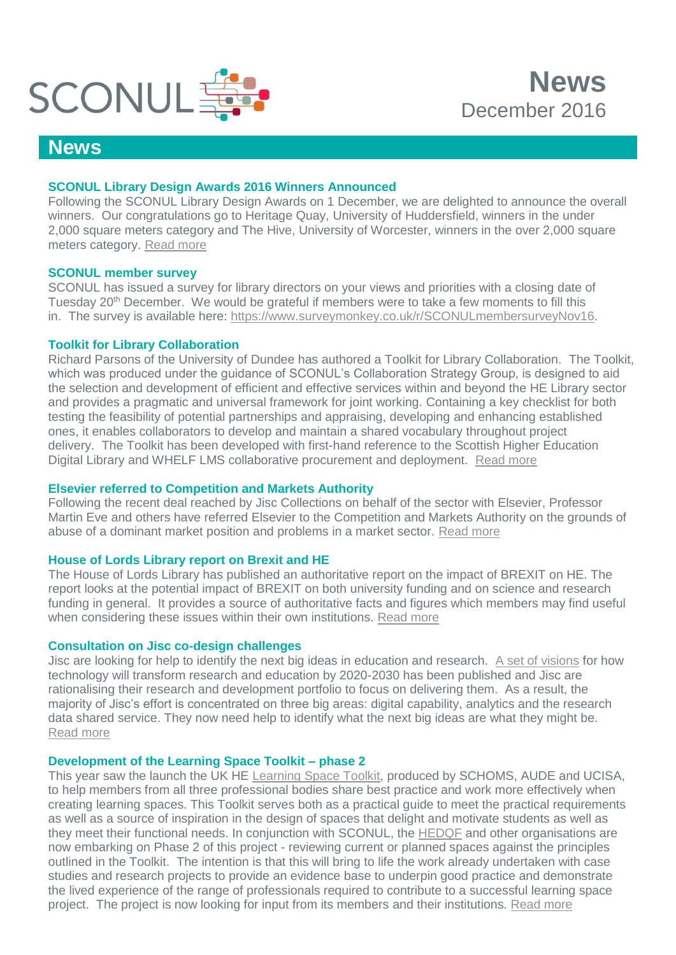

## **News**

## **SCONUL Library Design Awards 2016 Winners Announced**

Following the SCONUL Library Design Awards on 1 December, we are delighted to announce the overall winners. Our congratulations go to Heritage Quay, University of Huddersfield, winners in the under 2,000 square meters category and The Hive, University of Worcester, winners in the over 2,000 square meters category. [Read more](http://www.sconul.ac.uk/page/library-design-awards-2016)

### **SCONUL member survey**

SCONUL has issued a survey for library directors on your views and priorities with a closing date of Tuesday 20<sup>th</sup> December. We would be grateful if members were to take a few moments to fill this in. The survey is available here: [https://www.surveymonkey.co.uk/r/SCONULmembersurveyNov16.](https://www.surveymonkey.co.uk/r/SCONULmembersurveyNov16)

### **Toolkit for Library Collaboration**

Richard Parsons of the University of Dundee has authored a Toolkit for Library Collaboration. The Toolkit, which was produced under the guidance of SCONUL's Collaboration Strategy Group, is designed to aid the selection and development of efficient and effective services within and beyond the HE Library sector and provides a pragmatic and universal framework for joint working. Containing a key checklist for both testing the feasibility of potential partnerships and appraising, developing and enhancing established ones, it enables collaborators to develop and maintain a shared vocabulary throughout project delivery. The Toolkit has been developed with first-hand reference to the Scottish Higher Education Digital Library and WHELF LMS collaborative procurement and deployment. [Read more](http://www.sconul.ac.uk/news/toolkit-for-library-collaboration)

## **Elsevier referred to Competition and Markets Authority**

Following the recent deal reached by Jisc Collections on behalf of the sector with Elsevier, Professor Martin Eve and others have referred Elsevier to the Competition and Markets Authority on the grounds of abuse of a dominant market position and problems in a market sector. [Read more](https://www.martineve.com/2016/12/03/referring-elsevierrelx-to-the-competition-and-markets-authority/)

## **House of Lords Library report on Brexit and HE**

The House of Lords Library has published an authoritative report on the impact of BREXIT on HE. The report looks at the potential impact of BREXIT on both university funding and on science and research funding in general. It provides a source of authoritative facts and figures which members may find useful when considering these issues within their own institutions. [Read more](http://www.sconul.ac.uk/news/house-of-lords-library-report-on-brexit-and-he)

## **Consultation on Jisc co-design challenges**

Jisc are looking for help to identify the next big ideas in education and research. [A set of visions](https://www.jisc.ac.uk/rd/how-we-innovate/visions) for how technology will transform research and education by 2020-2030 has been published and Jisc are rationalising their research and development portfolio to focus on delivering them. As a result, the majority of Jisc's effort is concentrated on three big areas: digital capability, analytics and the research data shared service. They now need help to identify what the next big ideas are what they might be. [Read more](https://www.jisc.ac.uk/rd/get-involved)

#### **Development of the Learning Space Toolkit – phase 2**

This year saw the launch the UK HE [Learning Space Toolkit,](https://www.ucisa.ac.uk/learningspace) produced by SCHOMS, AUDE and UCISA, to help members from all three professional bodies share best practice and work more effectively when creating learning spaces. This Toolkit serves both as a practical guide to meet the practical requirements as well as a source of inspiration in the design of spaces that delight and motivate students as well as they meet their functional needs. In conjunction with SCONUL, the [HEDQF](http://hedqf.org/) and other organisations are now embarking on Phase 2 of this project - reviewing current or planned spaces against the principles outlined in the Toolkit. The intention is that this will bring to life the work already undertaken with case studies and research projects to provide an evidence base to underpin good practice and demonstrate the lived experience of the range of professionals required to contribute to a successful learning space project. The project is now looking for input from its members and their institutions. [Read more](http://www.sconul.ac.uk/page/development-of-the-learning-space-toolkit-%E2%80%93-phase-2)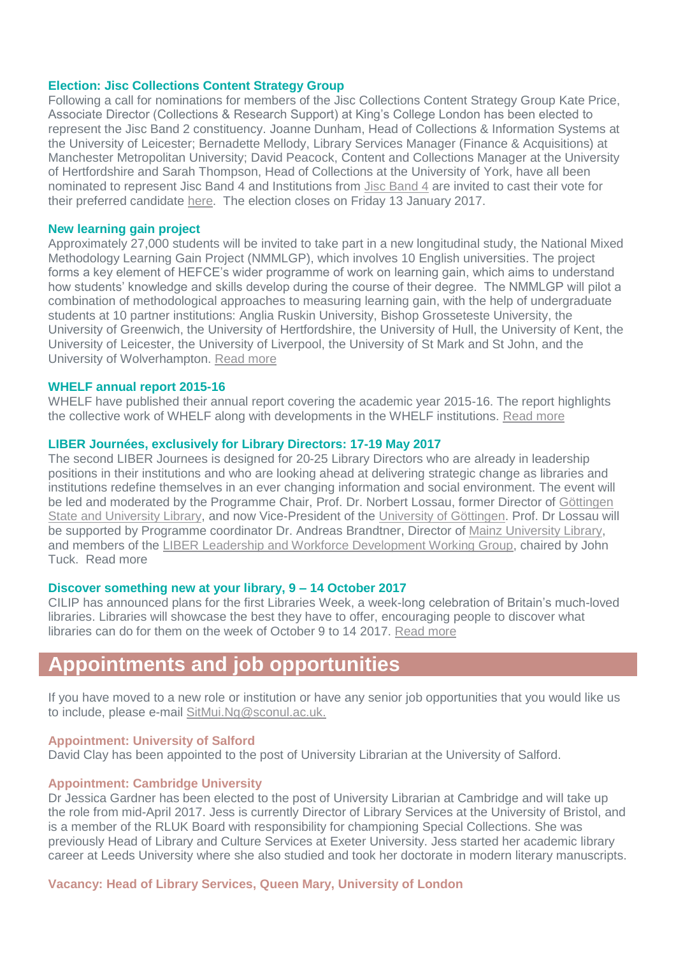#### **Election: Jisc Collections Content Strategy Group**

Following a call for nominations for members of the Jisc Collections Content Strategy Group Kate Price, Associate Director (Collections & Research Support) at King's College London has been elected to represent the Jisc Band 2 constituency. Joanne Dunham, Head of Collections & Information Systems at the University of Leicester; Bernadette Mellody, Library Services Manager (Finance & Acquisitions) at Manchester Metropolitan University; David Peacock, Content and Collections Manager at the University of Hertfordshire and Sarah Thompson, Head of Collections at the University of York, have all been nominated to represent Jisc Band 4 and Institutions from [Jisc Band 4](https://www.jisc-collections.ac.uk/Help-and-information/JISC-Banding/New-JISC-Bands-for-HE-HEIs-listed-by-band-1-10/#b4) are invited to cast their vote for their preferred candidate [here.](https://www.surveymonkey.co.uk/r/KJ8WS7H) The election closes on Friday 13 January 2017.

#### **New learning gain project**

Approximately 27,000 students will be invited to take part in a new longitudinal study, the National Mixed Methodology Learning Gain Project (NMMLGP), which involves 10 English universities. The project forms a key element of HEFCE's wider programme of work on learning gain, which aims to understand how students' knowledge and skills develop during the course of their degree. The NMMLGP will pilot a combination of methodological approaches to measuring learning gain, with the help of undergraduate students at 10 partner institutions: Anglia Ruskin University, Bishop Grosseteste University, the University of Greenwich, the University of Hertfordshire, the University of Hull, the University of Kent, the University of Leicester, the University of Liverpool, the University of St Mark and St John, and the University of Wolverhampton. [Read more](http://www.hefce.ac.uk/news/newsarchive/2016/Name,110708,en.html)

#### **WHELF annual report 2015-16**

WHELF have published their annual report covering the academic year 2015-16. The report highlights the collective work of WHELF along with developments in the WHELF institutions. [Read more](https://spark.adobe.com/page/jz7Eyk4pBoCEl/)

#### **LIBER Journées, exclusively for Library Directors: 17-19 May 2017**

The second LIBER Journees is designed for 20-25 Library Directors who are already in leadership positions in their institutions and who are looking ahead at delivering strategic change as libraries and institutions redefine themselves in an ever changing information and social environment. The event will be led and moderated by the Programme Chair, Prof. Dr. Norbert Lossau, former Director of [Göttingen](https://www.sub.uni-goettingen.de/en/news/)  [State and University Library,](https://www.sub.uni-goettingen.de/en/news/) and now Vice-President of the [University of Göttingen.](http://www.uni-goettingen.de/) Prof. Dr Lossau will be supported by Programme coordinator Dr. Andreas Brandtner, Director of [Mainz University Library,](https://www.ub-eng.uni-mainz.de/) and members of the [LIBER Leadership and Workforce Development Working Group,](http://libereurope.eu/strategy/strategic-direction-2-lead-in-changing-scholarship/wg-leadership-workforce-development/) chaired by John Tuck. Read more

#### **Discover something new at your library, 9 – 14 October 2017**

CILIP has announced plans for the first Libraries Week, a week-long celebration of Britain's much-loved libraries. Libraries will showcase the best they have to offer, encouraging people to discover what libraries can do for them on the week of October 9 to 14 2017. [Read more](http://cilip.org.uk/news/first-libraries-week-take-place-october-2017)

# **Appointments and job opportunities**

If you have moved to a new role or institution or have any senior job opportunities that you would like us to include, please e-mail [SitMui.Ng@sconul.ac.uk.](mailto:SitMui.Ng@sconul.ac.uk)

#### **Appointment: University of Salford**

David Clay has been appointed to the post of University Librarian at the University of Salford.

## **Appointment: Cambridge University**

Dr Jessica Gardner has been elected to the post of University Librarian at Cambridge and will take up the role from mid-April 2017. Jess is currently Director of Library Services at the University of Bristol, and is a member of the RLUK Board with responsibility for championing Special Collections. She was previously Head of Library and Culture Services at Exeter University. Jess started her academic library career at Leeds University where she also studied and took her doctorate in modern literary manuscripts.

#### **Vacancy: Head of Library Services, Queen Mary, University of London**